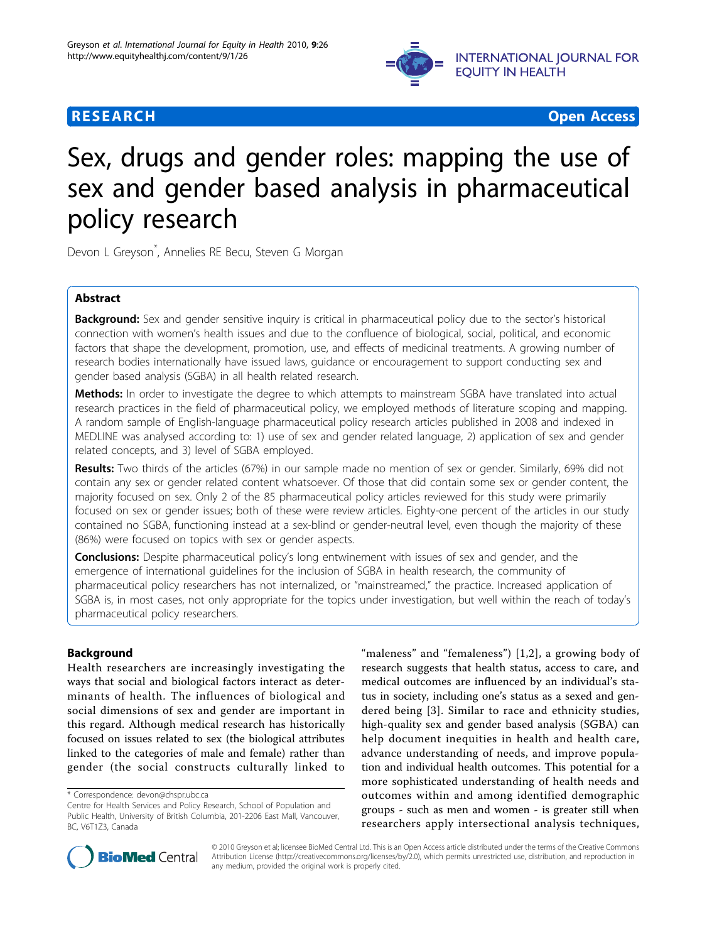

**RESEARCH CONSTRUCTION CONTROL** 

# Sex, drugs and gender roles: mapping the use of sex and gender based analysis in pharmaceutical policy research

Devon L Greyson\* , Annelies RE Becu, Steven G Morgan

# Abstract

**Background:** Sex and gender sensitive inquiry is critical in pharmaceutical policy due to the sector's historical connection with women's health issues and due to the confluence of biological, social, political, and economic factors that shape the development, promotion, use, and effects of medicinal treatments. A growing number of research bodies internationally have issued laws, guidance or encouragement to support conducting sex and gender based analysis (SGBA) in all health related research.

Methods: In order to investigate the degree to which attempts to mainstream SGBA have translated into actual research practices in the field of pharmaceutical policy, we employed methods of literature scoping and mapping. A random sample of English-language pharmaceutical policy research articles published in 2008 and indexed in MEDLINE was analysed according to: 1) use of sex and gender related language, 2) application of sex and gender related concepts, and 3) level of SGBA employed.

Results: Two thirds of the articles (67%) in our sample made no mention of sex or gender. Similarly, 69% did not contain any sex or gender related content whatsoever. Of those that did contain some sex or gender content, the majority focused on sex. Only 2 of the 85 pharmaceutical policy articles reviewed for this study were primarily focused on sex or gender issues; both of these were review articles. Eighty-one percent of the articles in our study contained no SGBA, functioning instead at a sex-blind or gender-neutral level, even though the majority of these (86%) were focused on topics with sex or gender aspects.

**Conclusions:** Despite pharmaceutical policy's long entwinement with issues of sex and gender, and the emergence of international guidelines for the inclusion of SGBA in health research, the community of pharmaceutical policy researchers has not internalized, or "mainstreamed," the practice. Increased application of SGBA is, in most cases, not only appropriate for the topics under investigation, but well within the reach of today's pharmaceutical policy researchers.

# Background

Health researchers are increasingly investigating the ways that social and biological factors interact as determinants of health. The influences of biological and social dimensions of sex and gender are important in this regard. Although medical research has historically focused on issues related to sex (the biological attributes linked to the categories of male and female) rather than gender (the social constructs culturally linked to

"maleness" and "femaleness") [[1,2\]](#page-6-0), a growing body of research suggests that health status, access to care, and medical outcomes are influenced by an individual's status in society, including one's status as a sexed and gendered being [[3](#page-6-0)]. Similar to race and ethnicity studies, high-quality sex and gender based analysis (SGBA) can help document inequities in health and health care, advance understanding of needs, and improve population and individual health outcomes. This potential for a more sophisticated understanding of health needs and outcomes within and among identified demographic groups - such as men and women - is greater still when researchers apply intersectional analysis techniques,



© 2010 Greyson et al; licensee BioMed Central Ltd. This is an Open Access article distributed under the terms of the Creative Commons Attribution License [\(http://creativecommons.org/licenses/by/2.0](http://creativecommons.org/licenses/by/2.0)), which permits unrestricted use, distribution, and reproduction in any medium, provided the original work is properly cited.

<sup>\*</sup> Correspondence: [devon@chspr.ubc.ca](mailto:devon@chspr.ubc.ca)

Centre for Health Services and Policy Research, School of Population and Public Health, University of British Columbia, 201-2206 East Mall, Vancouver, BC, V6T1Z3, Canada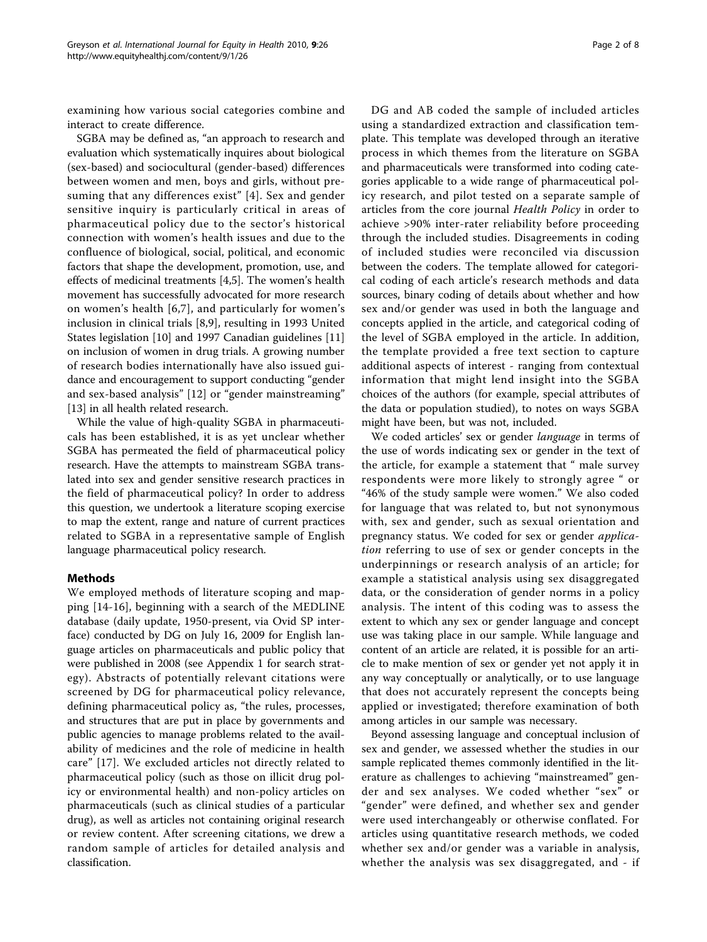examining how various social categories combine and interact to create difference.

SGBA may be defined as, "an approach to research and evaluation which systematically inquires about biological (sex-based) and sociocultural (gender-based) differences between women and men, boys and girls, without presuming that any differences exist" [[4](#page-6-0)]. Sex and gender sensitive inquiry is particularly critical in areas of pharmaceutical policy due to the sector's historical connection with women's health issues and due to the confluence of biological, social, political, and economic factors that shape the development, promotion, use, and effects of medicinal treatments [\[4,5\]](#page-6-0). The women's health movement has successfully advocated for more research on women's health [[6,7](#page-6-0)], and particularly for women's inclusion in clinical trials [\[8,9](#page-6-0)], resulting in 1993 United States legislation [[10\]](#page-6-0) and 1997 Canadian guidelines [\[11](#page-6-0)] on inclusion of women in drug trials. A growing number of research bodies internationally have also issued guidance and encouragement to support conducting "gender and sex-based analysis" [[12\]](#page-6-0) or "gender mainstreaming" [[13\]](#page-6-0) in all health related research.

While the value of high-quality SGBA in pharmaceuticals has been established, it is as yet unclear whether SGBA has permeated the field of pharmaceutical policy research. Have the attempts to mainstream SGBA translated into sex and gender sensitive research practices in the field of pharmaceutical policy? In order to address this question, we undertook a literature scoping exercise to map the extent, range and nature of current practices related to SGBA in a representative sample of English language pharmaceutical policy research.

# Methods

We employed methods of literature scoping and mapping [[14-16](#page-6-0)], beginning with a search of the MEDLINE database (daily update, 1950-present, via Ovid SP interface) conducted by DG on July 16, 2009 for English language articles on pharmaceuticals and public policy that were published in 2008 (see Appendix 1 for search strategy). Abstracts of potentially relevant citations were screened by DG for pharmaceutical policy relevance, defining pharmaceutical policy as, "the rules, processes, and structures that are put in place by governments and public agencies to manage problems related to the availability of medicines and the role of medicine in health care" [[17\]](#page-6-0). We excluded articles not directly related to pharmaceutical policy (such as those on illicit drug policy or environmental health) and non-policy articles on pharmaceuticals (such as clinical studies of a particular drug), as well as articles not containing original research or review content. After screening citations, we drew a random sample of articles for detailed analysis and classification.

DG and AB coded the sample of included articles using a standardized extraction and classification template. This template was developed through an iterative process in which themes from the literature on SGBA and pharmaceuticals were transformed into coding categories applicable to a wide range of pharmaceutical policy research, and pilot tested on a separate sample of articles from the core journal Health Policy in order to achieve >90% inter-rater reliability before proceeding through the included studies. Disagreements in coding of included studies were reconciled via discussion between the coders. The template allowed for categorical coding of each article's research methods and data sources, binary coding of details about whether and how sex and/or gender was used in both the language and concepts applied in the article, and categorical coding of the level of SGBA employed in the article. In addition, the template provided a free text section to capture additional aspects of interest - ranging from contextual information that might lend insight into the SGBA choices of the authors (for example, special attributes of the data or population studied), to notes on ways SGBA might have been, but was not, included.

We coded articles' sex or gender language in terms of the use of words indicating sex or gender in the text of the article, for example a statement that " male survey respondents were more likely to strongly agree " or "46% of the study sample were women." We also coded for language that was related to, but not synonymous with, sex and gender, such as sexual orientation and pregnancy status. We coded for sex or gender application referring to use of sex or gender concepts in the underpinnings or research analysis of an article; for example a statistical analysis using sex disaggregated data, or the consideration of gender norms in a policy analysis. The intent of this coding was to assess the extent to which any sex or gender language and concept use was taking place in our sample. While language and content of an article are related, it is possible for an article to make mention of sex or gender yet not apply it in any way conceptually or analytically, or to use language that does not accurately represent the concepts being applied or investigated; therefore examination of both among articles in our sample was necessary.

Beyond assessing language and conceptual inclusion of sex and gender, we assessed whether the studies in our sample replicated themes commonly identified in the literature as challenges to achieving "mainstreamed" gender and sex analyses. We coded whether "sex" or "gender" were defined, and whether sex and gender were used interchangeably or otherwise conflated. For articles using quantitative research methods, we coded whether sex and/or gender was a variable in analysis, whether the analysis was sex disaggregated, and - if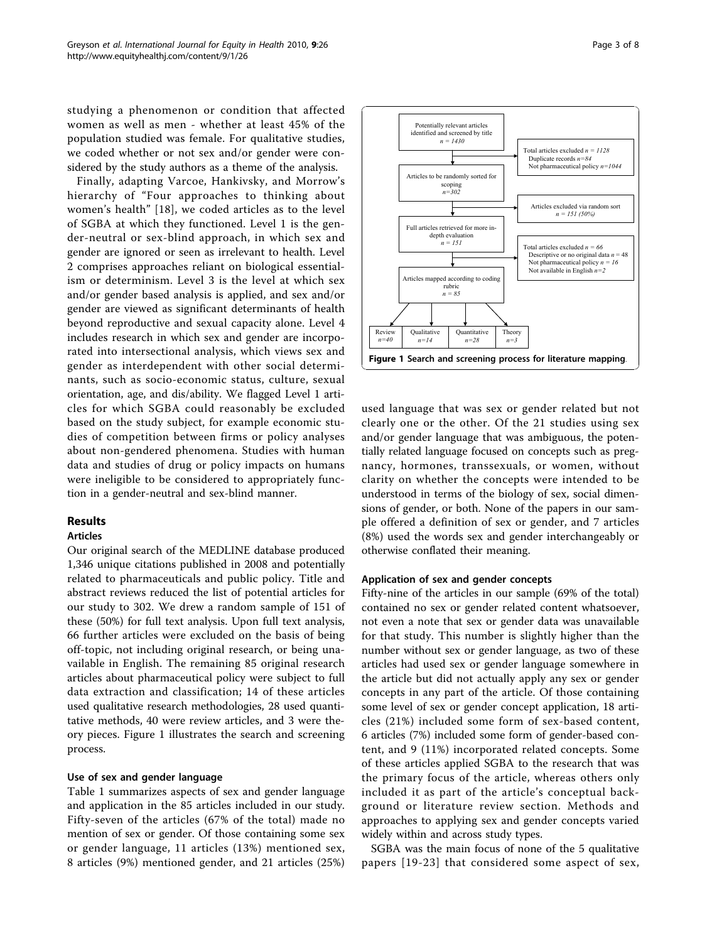studying a phenomenon or condition that affected women as well as men - whether at least 45% of the population studied was female. For qualitative studies, we coded whether or not sex and/or gender were considered by the study authors as a theme of the analysis.

Finally, adapting Varcoe, Hankivsky, and Morrow's hierarchy of "Four approaches to thinking about women's health" [[18\]](#page-6-0), we coded articles as to the level of SGBA at which they functioned. Level 1 is the gender-neutral or sex-blind approach, in which sex and gender are ignored or seen as irrelevant to health. Level 2 comprises approaches reliant on biological essentialism or determinism. Level 3 is the level at which sex and/or gender based analysis is applied, and sex and/or gender are viewed as significant determinants of health beyond reproductive and sexual capacity alone. Level 4 includes research in which sex and gender are incorporated into intersectional analysis, which views sex and gender as interdependent with other social determinants, such as socio-economic status, culture, sexual orientation, age, and dis/ability. We flagged Level 1 articles for which SGBA could reasonably be excluded based on the study subject, for example economic studies of competition between firms or policy analyses about non-gendered phenomena. Studies with human data and studies of drug or policy impacts on humans were ineligible to be considered to appropriately function in a gender-neutral and sex-blind manner.

# Results

### Articles

Our original search of the MEDLINE database produced 1,346 unique citations published in 2008 and potentially related to pharmaceuticals and public policy. Title and abstract reviews reduced the list of potential articles for our study to 302. We drew a random sample of 151 of these (50%) for full text analysis. Upon full text analysis, 66 further articles were excluded on the basis of being off-topic, not including original research, or being unavailable in English. The remaining 85 original research articles about pharmaceutical policy were subject to full data extraction and classification; 14 of these articles used qualitative research methodologies, 28 used quantitative methods, 40 were review articles, and 3 were theory pieces. Figure 1 illustrates the search and screening process.

### Use of sex and gender language

Table [1](#page-3-0) summarizes aspects of sex and gender language and application in the 85 articles included in our study. Fifty-seven of the articles (67% of the total) made no mention of sex or gender. Of those containing some sex or gender language, 11 articles (13%) mentioned sex, 8 articles (9%) mentioned gender, and 21 articles (25%)



used language that was sex or gender related but not clearly one or the other. Of the 21 studies using sex and/or gender language that was ambiguous, the potentially related language focused on concepts such as pregnancy, hormones, transsexuals, or women, without clarity on whether the concepts were intended to be understood in terms of the biology of sex, social dimensions of gender, or both. None of the papers in our sample offered a definition of sex or gender, and 7 articles (8%) used the words sex and gender interchangeably or otherwise conflated their meaning.

### Application of sex and gender concepts

Fifty-nine of the articles in our sample (69% of the total) contained no sex or gender related content whatsoever, not even a note that sex or gender data was unavailable for that study. This number is slightly higher than the number without sex or gender language, as two of these articles had used sex or gender language somewhere in the article but did not actually apply any sex or gender concepts in any part of the article. Of those containing some level of sex or gender concept application, 18 articles (21%) included some form of sex-based content, 6 articles (7%) included some form of gender-based content, and 9 (11%) incorporated related concepts. Some of these articles applied SGBA to the research that was the primary focus of the article, whereas others only included it as part of the article's conceptual background or literature review section. Methods and approaches to applying sex and gender concepts varied widely within and across study types.

SGBA was the main focus of none of the 5 qualitative papers [[19-](#page-6-0)[23](#page-7-0)] that considered some aspect of sex,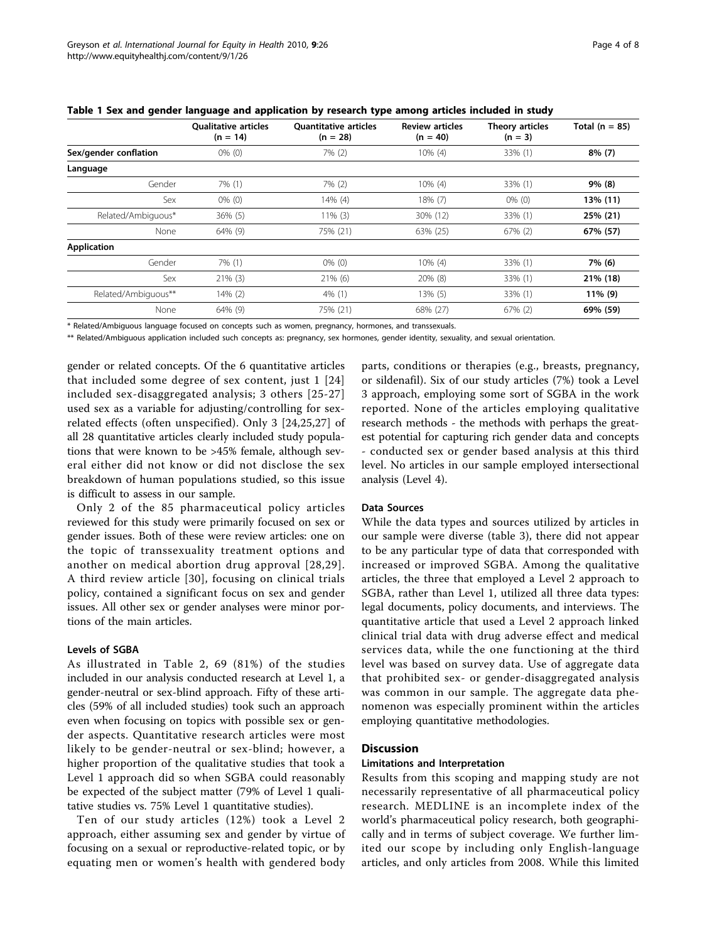|                       | <b>Oualitative articles</b><br>$(n = 14)$ | <b>Ouantitative articles</b><br>$(n = 28)$ | <b>Review articles</b><br>$(n = 40)$ | Theory articles<br>$(n = 3)$ | Total $(n = 85)$ |  |
|-----------------------|-------------------------------------------|--------------------------------------------|--------------------------------------|------------------------------|------------------|--|
| Sex/gender conflation | $0\%$ (0)                                 | 7% (2)                                     | 10% (4)                              | 33% (1)                      | $8\%$ (7)        |  |
| Language              |                                           |                                            |                                      |                              |                  |  |
| Gender                | 7% (1)                                    | 7% (2)                                     | $10\%$ (4)                           |                              | 9% (8)           |  |
| Sex                   | $0\%$ (0)                                 | $14\%$ (4)                                 | 18% (7)                              | $0\%$ (0)                    | 13% (11)         |  |
| Related/Ambiguous*    | $36\%$ (5)                                | $11\%$ (3)                                 | 30% (12)                             | 33% (1)                      | 25% (21)         |  |
| None                  | 64% (9)                                   | 75% (21)                                   | 63% (25)                             | 67% (2)                      | 67% (57)         |  |
| <b>Application</b>    |                                           |                                            |                                      |                              |                  |  |
| Gender                | 7% (1)                                    | $0\%$ (0)                                  | $10\%$ (4)                           | 33% (1)                      | 7% (6)           |  |
| Sex                   | 21% (3)                                   | 21% (6)                                    | 20% (8)                              | 33% (1)                      | 21% (18)         |  |
| Related/Ambiguous**   | 14% (2)                                   | 4% (1)                                     | 13% (5)                              | 33% (1)<br>11% (9)           |                  |  |
| None                  | 64% (9)                                   | 75% (21)                                   | 67% (2)<br>69% (59)<br>68% (27)      |                              |                  |  |

<span id="page-3-0"></span>Table 1 Sex and gender language and application by research type among articles included in study

\* Related/Ambiguous language focused on concepts such as women, pregnancy, hormones, and transsexuals.

\*\* Related/Ambiguous application included such concepts as: pregnancy, sex hormones, gender identity, sexuality, and sexual orientation.

gender or related concepts. Of the 6 quantitative articles that included some degree of sex content, just 1 [[24](#page-7-0)] included sex-disaggregated analysis; 3 others [[25-27](#page-7-0)] used sex as a variable for adjusting/controlling for sexrelated effects (often unspecified). Only 3 [[24,25](#page-7-0),[27\]](#page-7-0) of all 28 quantitative articles clearly included study populations that were known to be >45% female, although several either did not know or did not disclose the sex breakdown of human populations studied, so this issue is difficult to assess in our sample.

Only 2 of the 85 pharmaceutical policy articles reviewed for this study were primarily focused on sex or gender issues. Both of these were review articles: one on the topic of transsexuality treatment options and another on medical abortion drug approval [[28,29\]](#page-7-0). A third review article [[30](#page-7-0)], focusing on clinical trials policy, contained a significant focus on sex and gender issues. All other sex or gender analyses were minor portions of the main articles.

# Levels of SGBA

As illustrated in Table [2](#page-4-0), 69 (81%) of the studies included in our analysis conducted research at Level 1, a gender-neutral or sex-blind approach. Fifty of these articles (59% of all included studies) took such an approach even when focusing on topics with possible sex or gender aspects. Quantitative research articles were most likely to be gender-neutral or sex-blind; however, a higher proportion of the qualitative studies that took a Level 1 approach did so when SGBA could reasonably be expected of the subject matter (79% of Level 1 qualitative studies vs. 75% Level 1 quantitative studies).

Ten of our study articles (12%) took a Level 2 approach, either assuming sex and gender by virtue of focusing on a sexual or reproductive-related topic, or by equating men or women's health with gendered body

parts, conditions or therapies (e.g., breasts, pregnancy, or sildenafil). Six of our study articles (7%) took a Level 3 approach, employing some sort of SGBA in the work reported. None of the articles employing qualitative research methods - the methods with perhaps the greatest potential for capturing rich gender data and concepts - conducted sex or gender based analysis at this third level. No articles in our sample employed intersectional analysis (Level 4).

### Data Sources

While the data types and sources utilized by articles in our sample were diverse (table [3\)](#page-4-0), there did not appear to be any particular type of data that corresponded with increased or improved SGBA. Among the qualitative articles, the three that employed a Level 2 approach to SGBA, rather than Level 1, utilized all three data types: legal documents, policy documents, and interviews. The quantitative article that used a Level 2 approach linked clinical trial data with drug adverse effect and medical services data, while the one functioning at the third level was based on survey data. Use of aggregate data that prohibited sex- or gender-disaggregated analysis was common in our sample. The aggregate data phenomenon was especially prominent within the articles employing quantitative methodologies.

#### Discussion

#### Limitations and Interpretation

Results from this scoping and mapping study are not necessarily representative of all pharmaceutical policy research. MEDLINE is an incomplete index of the world's pharmaceutical policy research, both geographically and in terms of subject coverage. We further limited our scope by including only English-language articles, and only articles from 2008. While this limited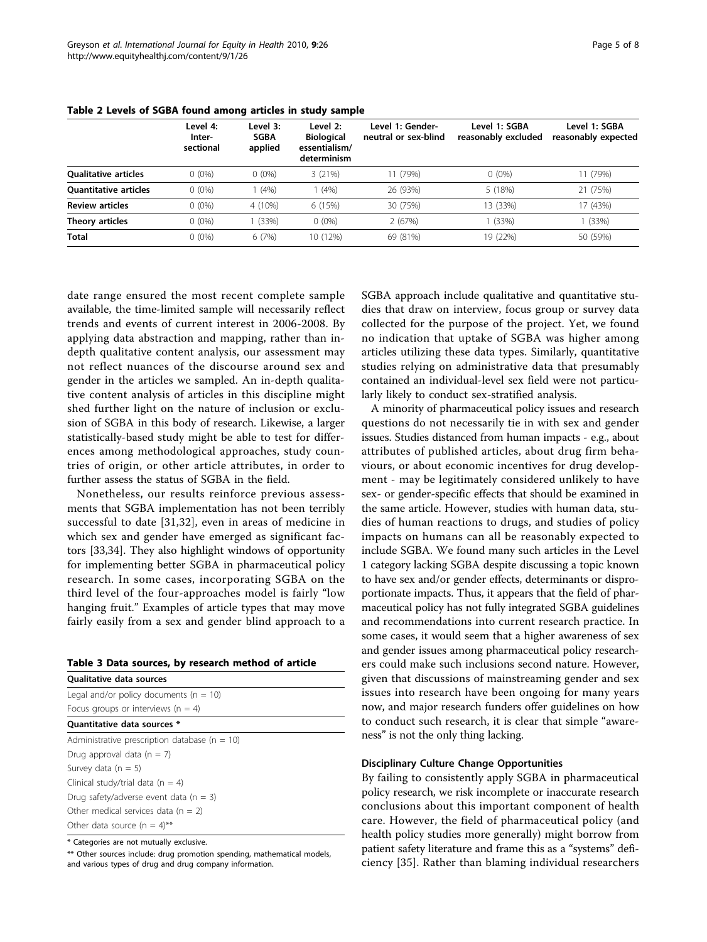|                              | Table 2 Levels of SGBA found among articles in study sample |                                    |                                                               |                                          |                                      |                                      |
|------------------------------|-------------------------------------------------------------|------------------------------------|---------------------------------------------------------------|------------------------------------------|--------------------------------------|--------------------------------------|
|                              | Level 4:<br>Inter-<br>sectional                             | Level 3:<br><b>SGBA</b><br>applied | Level 2:<br><b>Biological</b><br>essentialism/<br>determinism | Level 1: Gender-<br>neutral or sex-blind | Level 1: SGBA<br>reasonably excluded | Level 1: SGBA<br>reasonably expected |
| <b>Oualitative articles</b>  | $0(0\%)$                                                    | $0(0\%)$                           | 3(21%)                                                        | 11 (79%)                                 | $0(0\%)$                             | 11 (79%)                             |
| <b>Ouantitative articles</b> | $0(0\%)$                                                    | (4% )                              | (4% )                                                         | 26 (93%)                                 | 5 (18%)                              | 21 (75%)                             |
| Review articles              | $0(0\%)$                                                    | 4 (10%)                            | 6(15%)                                                        | 30 (75%)                                 | 13 (33%)                             | 17 (43%)                             |

**Theory articles** 0 (0%) 1 (33%) 0 (0%) 2 (67%) 1 (33%) 1 (33%) Total 0 (0%) 6 (7%) 10 (12%) 69 (81%) 19 (22%) 50 (59%)

<span id="page-4-0"></span>Table 2 Levels of SGBA found among articles in study sample

date range ensured the most recent complete sample available, the time-limited sample will necessarily reflect trends and events of current interest in 2006-2008. By applying data abstraction and mapping, rather than indepth qualitative content analysis, our assessment may not reflect nuances of the discourse around sex and gender in the articles we sampled. An in-depth qualitative content analysis of articles in this discipline might shed further light on the nature of inclusion or exclusion of SGBA in this body of research. Likewise, a larger statistically-based study might be able to test for differences among methodological approaches, study countries of origin, or other article attributes, in order to further assess the status of SGBA in the field.

Nonetheless, our results reinforce previous assessments that SGBA implementation has not been terribly successful to date [[31,32\]](#page-7-0), even in areas of medicine in which sex and gender have emerged as significant factors [[33,34\]](#page-7-0). They also highlight windows of opportunity for implementing better SGBA in pharmaceutical policy research. In some cases, incorporating SGBA on the third level of the four-approaches model is fairly "low hanging fruit." Examples of article types that may move fairly easily from a sex and gender blind approach to a

|  |  |  |  | Table 3 Data sources, by research method of article |  |  |  |
|--|--|--|--|-----------------------------------------------------|--|--|--|
|--|--|--|--|-----------------------------------------------------|--|--|--|

| <b>Oualitative data sources</b>                   |
|---------------------------------------------------|
| Legal and/or policy documents ( $n = 10$ )        |
| Focus groups or interviews ( $n = 4$ )            |
| Ouantitative data sources *                       |
| Administrative prescription database ( $n = 10$ ) |
| Drug approval data $(n = 7)$                      |
| Survey data $(n = 5)$                             |
| Clinical study/trial data ( $n = 4$ )             |
| Drug safety/adverse event data ( $n = 3$ )        |
| Other medical services data ( $n = 2$ )           |
| Other data source $(n = 4)$ **                    |
| * Categories are not mutually exclusive.          |

\*\* Other sources include: drug promotion spending, mathematical models, and various types of drug and drug company information.

SGBA approach include qualitative and quantitative studies that draw on interview, focus group or survey data collected for the purpose of the project. Yet, we found no indication that uptake of SGBA was higher among articles utilizing these data types. Similarly, quantitative studies relying on administrative data that presumably contained an individual-level sex field were not particularly likely to conduct sex-stratified analysis.

A minority of pharmaceutical policy issues and research questions do not necessarily tie in with sex and gender issues. Studies distanced from human impacts - e.g., about attributes of published articles, about drug firm behaviours, or about economic incentives for drug development - may be legitimately considered unlikely to have sex- or gender-specific effects that should be examined in the same article. However, studies with human data, studies of human reactions to drugs, and studies of policy impacts on humans can all be reasonably expected to include SGBA. We found many such articles in the Level 1 category lacking SGBA despite discussing a topic known to have sex and/or gender effects, determinants or disproportionate impacts. Thus, it appears that the field of pharmaceutical policy has not fully integrated SGBA guidelines and recommendations into current research practice. In some cases, it would seem that a higher awareness of sex and gender issues among pharmaceutical policy researchers could make such inclusions second nature. However, given that discussions of mainstreaming gender and sex issues into research have been ongoing for many years now, and major research funders offer guidelines on how to conduct such research, it is clear that simple "awareness" is not the only thing lacking.

#### Disciplinary Culture Change Opportunities

By failing to consistently apply SGBA in pharmaceutical policy research, we risk incomplete or inaccurate research conclusions about this important component of health care. However, the field of pharmaceutical policy (and health policy studies more generally) might borrow from patient safety literature and frame this as a "systems" deficiency [[35\]](#page-7-0). Rather than blaming individual researchers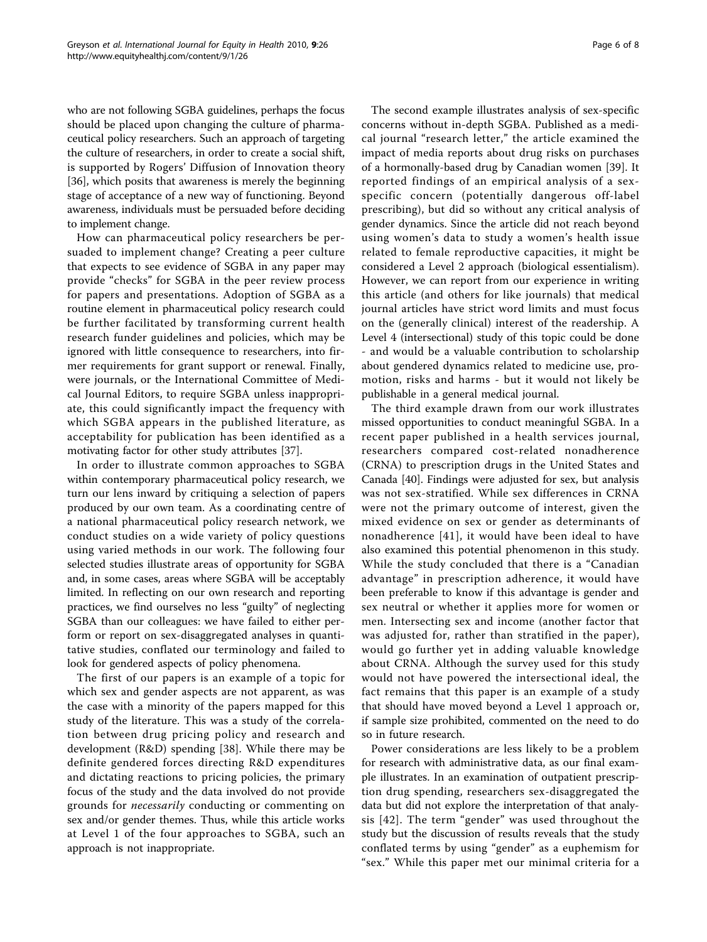who are not following SGBA guidelines, perhaps the focus should be placed upon changing the culture of pharmaceutical policy researchers. Such an approach of targeting the culture of researchers, in order to create a social shift, is supported by Rogers' Diffusion of Innovation theory [[36\]](#page-7-0), which posits that awareness is merely the beginning stage of acceptance of a new way of functioning. Beyond awareness, individuals must be persuaded before deciding to implement change.

How can pharmaceutical policy researchers be persuaded to implement change? Creating a peer culture that expects to see evidence of SGBA in any paper may provide "checks" for SGBA in the peer review process for papers and presentations. Adoption of SGBA as a routine element in pharmaceutical policy research could be further facilitated by transforming current health research funder guidelines and policies, which may be ignored with little consequence to researchers, into firmer requirements for grant support or renewal. Finally, were journals, or the International Committee of Medical Journal Editors, to require SGBA unless inappropriate, this could significantly impact the frequency with which SGBA appears in the published literature, as acceptability for publication has been identified as a motivating factor for other study attributes [[37\]](#page-7-0).

In order to illustrate common approaches to SGBA within contemporary pharmaceutical policy research, we turn our lens inward by critiquing a selection of papers produced by our own team. As a coordinating centre of a national pharmaceutical policy research network, we conduct studies on a wide variety of policy questions using varied methods in our work. The following four selected studies illustrate areas of opportunity for SGBA and, in some cases, areas where SGBA will be acceptably limited. In reflecting on our own research and reporting practices, we find ourselves no less "guilty" of neglecting SGBA than our colleagues: we have failed to either perform or report on sex-disaggregated analyses in quantitative studies, conflated our terminology and failed to look for gendered aspects of policy phenomena.

The first of our papers is an example of a topic for which sex and gender aspects are not apparent, as was the case with a minority of the papers mapped for this study of the literature. This was a study of the correlation between drug pricing policy and research and development (R&D) spending [\[38](#page-7-0)]. While there may be definite gendered forces directing R&D expenditures and dictating reactions to pricing policies, the primary focus of the study and the data involved do not provide grounds for necessarily conducting or commenting on sex and/or gender themes. Thus, while this article works at Level 1 of the four approaches to SGBA, such an approach is not inappropriate.

The second example illustrates analysis of sex-specific concerns without in-depth SGBA. Published as a medical journal "research letter," the article examined the impact of media reports about drug risks on purchases of a hormonally-based drug by Canadian women [[39\]](#page-7-0). It reported findings of an empirical analysis of a sexspecific concern (potentially dangerous off-label prescribing), but did so without any critical analysis of gender dynamics. Since the article did not reach beyond using women's data to study a women's health issue related to female reproductive capacities, it might be considered a Level 2 approach (biological essentialism). However, we can report from our experience in writing this article (and others for like journals) that medical journal articles have strict word limits and must focus on the (generally clinical) interest of the readership. A Level 4 (intersectional) study of this topic could be done - and would be a valuable contribution to scholarship about gendered dynamics related to medicine use, promotion, risks and harms - but it would not likely be publishable in a general medical journal.

The third example drawn from our work illustrates missed opportunities to conduct meaningful SGBA. In a recent paper published in a health services journal, researchers compared cost-related nonadherence (CRNA) to prescription drugs in the United States and Canada [[40](#page-7-0)]. Findings were adjusted for sex, but analysis was not sex-stratified. While sex differences in CRNA were not the primary outcome of interest, given the mixed evidence on sex or gender as determinants of nonadherence [\[41\]](#page-7-0), it would have been ideal to have also examined this potential phenomenon in this study. While the study concluded that there is a "Canadian advantage" in prescription adherence, it would have been preferable to know if this advantage is gender and sex neutral or whether it applies more for women or men. Intersecting sex and income (another factor that was adjusted for, rather than stratified in the paper), would go further yet in adding valuable knowledge about CRNA. Although the survey used for this study would not have powered the intersectional ideal, the fact remains that this paper is an example of a study that should have moved beyond a Level 1 approach or, if sample size prohibited, commented on the need to do so in future research.

Power considerations are less likely to be a problem for research with administrative data, as our final example illustrates. In an examination of outpatient prescription drug spending, researchers sex-disaggregated the data but did not explore the interpretation of that analysis [[42](#page-7-0)]. The term "gender" was used throughout the study but the discussion of results reveals that the study conflated terms by using "gender" as a euphemism for "sex." While this paper met our minimal criteria for a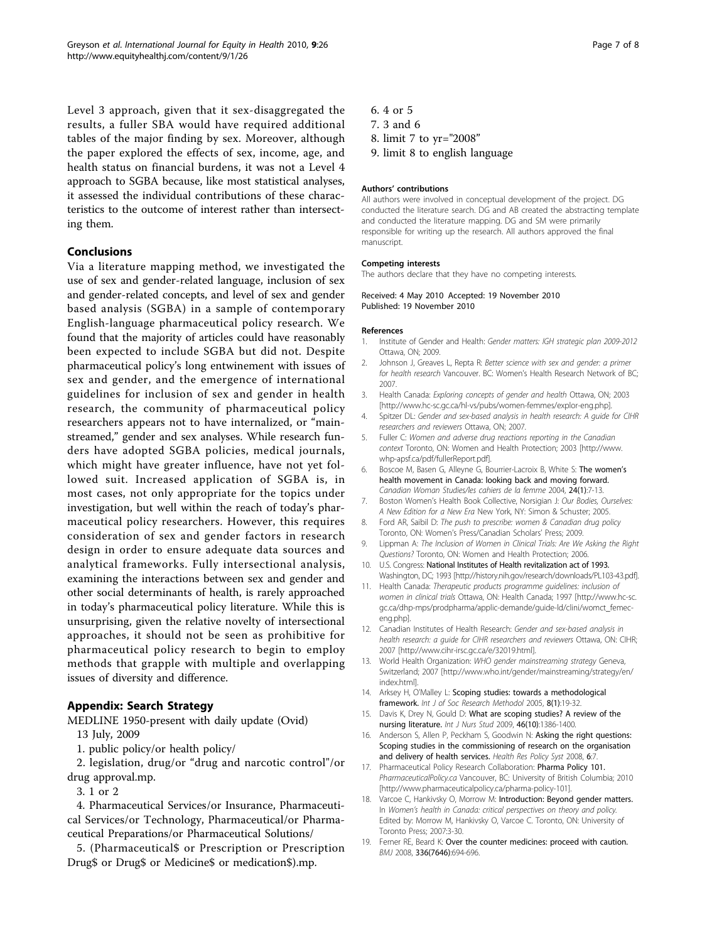<span id="page-6-0"></span>Level 3 approach, given that it sex-disaggregated the results, a fuller SBA would have required additional tables of the major finding by sex. Moreover, although the paper explored the effects of sex, income, age, and health status on financial burdens, it was not a Level 4 approach to SGBA because, like most statistical analyses, it assessed the individual contributions of these characteristics to the outcome of interest rather than intersecting them.

# Conclusions

Via a literature mapping method, we investigated the use of sex and gender-related language, inclusion of sex and gender-related concepts, and level of sex and gender based analysis (SGBA) in a sample of contemporary English-language pharmaceutical policy research. We found that the majority of articles could have reasonably been expected to include SGBA but did not. Despite pharmaceutical policy's long entwinement with issues of sex and gender, and the emergence of international guidelines for inclusion of sex and gender in health research, the community of pharmaceutical policy researchers appears not to have internalized, or "mainstreamed," gender and sex analyses. While research funders have adopted SGBA policies, medical journals, which might have greater influence, have not yet followed suit. Increased application of SGBA is, in most cases, not only appropriate for the topics under investigation, but well within the reach of today's pharmaceutical policy researchers. However, this requires consideration of sex and gender factors in research design in order to ensure adequate data sources and analytical frameworks. Fully intersectional analysis, examining the interactions between sex and gender and other social determinants of health, is rarely approached in today's pharmaceutical policy literature. While this is unsurprising, given the relative novelty of intersectional approaches, it should not be seen as prohibitive for pharmaceutical policy research to begin to employ methods that grapple with multiple and overlapping issues of diversity and difference.

# Appendix: Search Strategy

MEDLINE 1950-present with daily update (Ovid)

- 13 July, 2009
- 1. public policy/or health policy/

2. legislation, drug/or "drug and narcotic control"/or drug approval.mp.

3. 1 or 2

4. Pharmaceutical Services/or Insurance, Pharmaceutical Services/or Technology, Pharmaceutical/or Pharmaceutical Preparations/or Pharmaceutical Solutions/

5. (Pharmaceutical\$ or Prescription or Prescription Drug\$ or Drug\$ or Medicine\$ or medication\$).mp.

6. 4 or 5 7. 3 and 6 8. limit 7 to yr="2008" 9. limit 8 to english language

#### Authors' contributions

All authors were involved in conceptual development of the project. DG conducted the literature search. DG and AB created the abstracting template and conducted the literature mapping. DG and SM were primarily responsible for writing up the research. All authors approved the final manuscript.

#### Competing interests

The authors declare that they have no competing interests.

Received: 4 May 2010 Accepted: 19 November 2010 Published: 19 November 2010

#### References

- 1. Institute of Gender and Health: Gender matters: IGH strategic plan 2009-2012 Ottawa, ON; 2009.
- 2. Johnson J, Greaves L, Repta R: Better science with sex and gender: a primer for health research Vancouver. BC: Women's Health Research Network of BC; 2007.
- 3. Health Canada: Exploring concepts of gender and health Ottawa, ON; 2003 [[http://www.hc-sc.gc.ca/hl-vs/pubs/women-femmes/explor-eng.php\]](http://www.hc-sc.gc.ca/hl-vs/pubs/women-femmes/explor-eng.php).
- 4. Spitzer DL: Gender and sex-based analysis in health research: A guide for CIHR researchers and reviewers Ottawa, ON; 2007.
- 5. Fuller C: Women and adverse drug reactions reporting in the Canadian context Toronto, ON: Women and Health Protection; 2003 [\[http://www.](http://www.whp-apsf.ca/pdf/fullerReport.pdf) [whp-apsf.ca/pdf/fullerReport.pdf](http://www.whp-apsf.ca/pdf/fullerReport.pdf)].
- 6. Boscoe M, Basen G, Alleyne G, Bourrier-Lacroix B, White S: The women's health movement in Canada: looking back and moving forward. Canadian Woman Studies/les cahiers de la femme 2004, 24(1):7-13.
- 7. Boston Women's Health Book Collective, Norsigian J: Our Bodies, Ourselves: A New Edition for a New Era New York, NY: Simon & Schuster; 2005.
- 8. Ford AR, Saibil D: The push to prescribe: women & Canadian drug policy Toronto, ON: Women's Press/Canadian Scholars' Press; 2009.
- 9. Lippman A: The Inclusion of Women in Clinical Trials: Are We Asking the Right Questions? Toronto, ON: Women and Health Protection; 2006.
- 10. U.S. Congress: National Institutes of Health revitalization act of 1993. Washington, DC; 1993 [\[http://history.nih.gov/research/downloads/PL103-43.pdf\]](http://history.nih.gov/research/downloads/PL103-43.pdf).
- 11. Health Canada: Therapeutic products programme guidelines: inclusion of women in clinical trials Ottawa, ON: Health Canada; 1997 [\[http://www.hc-sc.](http://www.hc-sc.gc.ca/dhp-mps/prodpharma/applic-demande/guide-ld/clini/womct_femec-eng.php) [gc.ca/dhp-mps/prodpharma/applic-demande/guide-ld/clini/womct\\_femec](http://www.hc-sc.gc.ca/dhp-mps/prodpharma/applic-demande/guide-ld/clini/womct_femec-eng.php)[eng.php](http://www.hc-sc.gc.ca/dhp-mps/prodpharma/applic-demande/guide-ld/clini/womct_femec-eng.php)].
- 12. Canadian Institutes of Health Research: Gender and sex-based analysis in health research: a guide for CIHR researchers and reviewers Ottawa, ON: CIHR; 2007 [\[http://www.cihr-irsc.gc.ca/e/32019.html\]](http://www.cihr-irsc.gc.ca/e/32019.html).
- 13. World Health Organization: WHO gender mainstreaming strategy Geneva, Switzerland; 2007 [[http://www.who.int/gender/mainstreaming/strategy/en/](http://www.who.int/gender/mainstreaming/strategy/en/index.html) [index.html\]](http://www.who.int/gender/mainstreaming/strategy/en/index.html).
- 14. Arksey H, O'Malley L: Scoping studies: towards a methodological framework. Int J of Soc Research Methodol 2005, 8(1):19-32.
- 15. Davis K, Drey N, Gould D: [What are scoping studies? A review of the](http://www.ncbi.nlm.nih.gov/pubmed/19328488?dopt=Abstract) [nursing literature.](http://www.ncbi.nlm.nih.gov/pubmed/19328488?dopt=Abstract) Int J Nurs Stud 2009, 46(10):1386-1400.
- 16. Anderson S, Allen P, Peckham S, Goodwin N: [Asking the right questions:](http://www.ncbi.nlm.nih.gov/pubmed/18613961?dopt=Abstract) [Scoping studies in the commissioning of research on the organisation](http://www.ncbi.nlm.nih.gov/pubmed/18613961?dopt=Abstract) [and delivery of health services.](http://www.ncbi.nlm.nih.gov/pubmed/18613961?dopt=Abstract) Health Res Policy Syst 2008, 6:7.
- 17. Pharmaceutical Policy Research Collaboration: Pharma Policy 101. PharmaceuticalPolicy.ca Vancouver, BC: University of British Columbia; 2010 [[http://www.pharmaceuticalpolicy.ca/pharma-policy-101\]](http://www.pharmaceuticalpolicy.ca/pharma-policy-101).
- 18. Varcoe C, Hankivsky O, Morrow M: Introduction: Beyond gender matters. In Women's health in Canada: critical perspectives on theory and policy. Edited by: Morrow M, Hankivsky O, Varcoe C. Toronto, ON: University of Toronto Press; 2007:3-30.
- 19. Ferner RE, Beard K: [Over the counter medicines: proceed with caution.](http://www.ncbi.nlm.nih.gov/pubmed/18369225?dopt=Abstract) BMJ 2008, 336(7646):694-696.